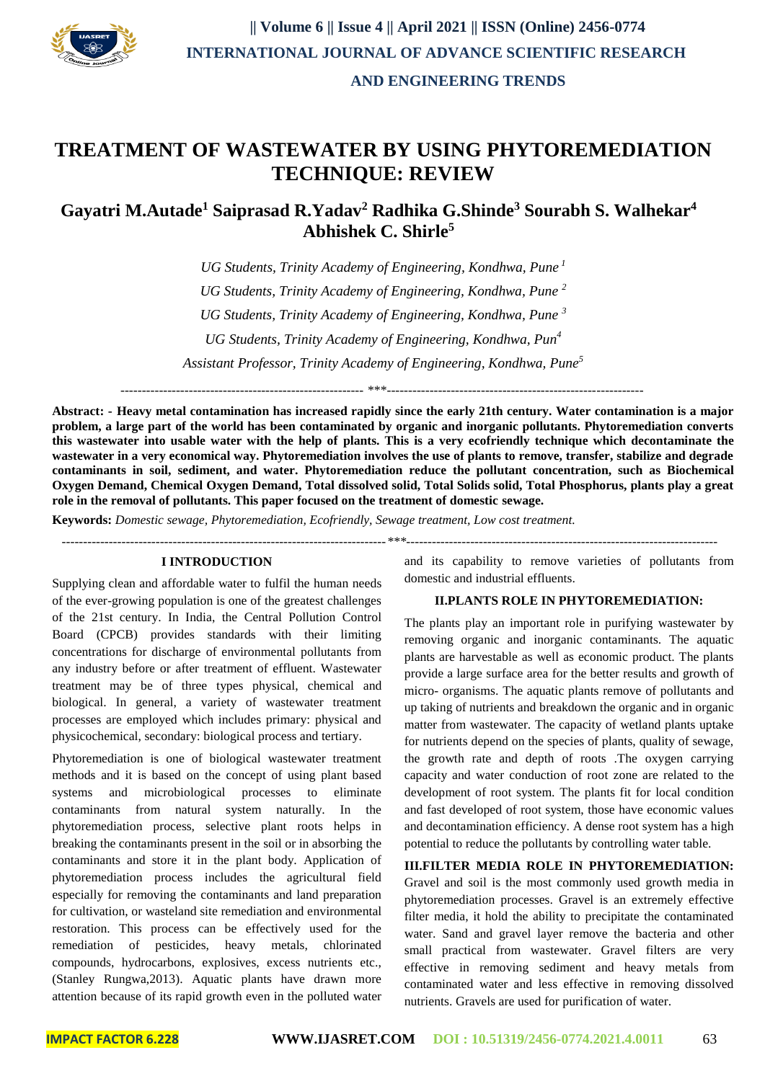

 **AND ENGINEERING TRENDS** 

# **TREATMENT OF WASTEWATER BY USING PHYTOREMEDIATION TECHNIQUE: REVIEW**

## **Gayatri M.Autade<sup>1</sup> Saiprasad R.Yadav<sup>2</sup> Radhika G.Shinde<sup>3</sup> Sourabh S. Walhekar<sup>4</sup> Abhishek C. Shirle<sup>5</sup>**

*UG Students, Trinity Academy of Engineering, Kondhwa, Pune <sup>1</sup> UG Students, Trinity Academy of Engineering, Kondhwa, Pune <sup>2</sup> UG Students, Trinity Academy of Engineering, Kondhwa, Pune <sup>3</sup> UG Students, Trinity Academy of Engineering, Kondhwa, Pun<sup>4</sup> Assistant Professor, Trinity Academy of Engineering, Kondhwa, Pune<sup>5</sup>*

--------------------------------------------------------- \*\*\*------------------------------------------------------------

**Abstract: - Heavy metal contamination has increased rapidly since the early 21th century. Water contamination is a major problem, a large part of the world has been contaminated by organic and inorganic pollutants. Phytoremediation converts this wastewater into usable water with the help of plants. This is a very ecofriendly technique which decontaminate the wastewater in a very economical way. Phytoremediation involves the use of plants to remove, transfer, stabilize and degrade contaminants in soil, sediment, and water. Phytoremediation reduce the pollutant concentration, such as Biochemical Oxygen Demand, Chemical Oxygen Demand, Total dissolved solid, Total Solids solid, Total Phosphorus, plants play a great role in the removal of pollutants. This paper focused on the treatment of domestic sewage.**

**Keywords:** *Domestic sewage, Phytoremediation, Ecofriendly, Sewage treatment, Low cost treatment.*

*----------------------------------------------------------------------------\*\*\*-------------------------------------------------------------------------*

#### **I INTRODUCTION**

Supplying clean and affordable water to fulfil the human needs of the ever-growing population is one of the greatest challenges of the 21st century. In India, the Central Pollution Control Board (CPCB) provides standards with their limiting concentrations for discharge of environmental pollutants from any industry before or after treatment of effluent. Wastewater treatment may be of three types physical, chemical and biological. In general, a variety of wastewater treatment processes are employed which includes primary: physical and physicochemical, secondary: biological process and tertiary.

Phytoremediation is one of biological wastewater treatment methods and it is based on the concept of using plant based systems and microbiological processes to eliminate contaminants from natural system naturally. In the phytoremediation process, selective plant roots helps in breaking the contaminants present in the soil or in absorbing the contaminants and store it in the plant body. Application of phytoremediation process includes the agricultural field especially for removing the contaminants and land preparation for cultivation, or wasteland site remediation and environmental restoration. This process can be effectively used for the remediation of pesticides, heavy metals, chlorinated compounds, hydrocarbons, explosives, excess nutrients etc., (Stanley Rungwa,2013). Aquatic plants have drawn more attention because of its rapid growth even in the polluted water

and its capability to remove varieties of pollutants from domestic and industrial effluents.

#### **II.PLANTS ROLE IN PHYTOREMEDIATION:**

The plants play an important role in purifying wastewater by removing organic and inorganic contaminants. The aquatic plants are harvestable as well as economic product. The plants provide a large surface area for the better results and growth of micro- organisms. The aquatic plants remove of pollutants and up taking of nutrients and breakdown the organic and in organic matter from wastewater. The capacity of wetland plants uptake for nutrients depend on the species of plants, quality of sewage, the growth rate and depth of roots .The oxygen carrying capacity and water conduction of root zone are related to the development of root system. The plants fit for local condition and fast developed of root system, those have economic values and decontamination efficiency. A dense root system has a high potential to reduce the pollutants by controlling water table.

#### **III.FILTER MEDIA ROLE IN PHYTOREMEDIATION:**

Gravel and soil is the most commonly used growth media in phytoremediation processes. Gravel is an extremely effective filter media, it hold the ability to precipitate the contaminated water. Sand and gravel layer remove the bacteria and other small practical from wastewater. Gravel filters are very effective in removing sediment and heavy metals from contaminated water and less effective in removing dissolved nutrients. Gravels are used for purification of water.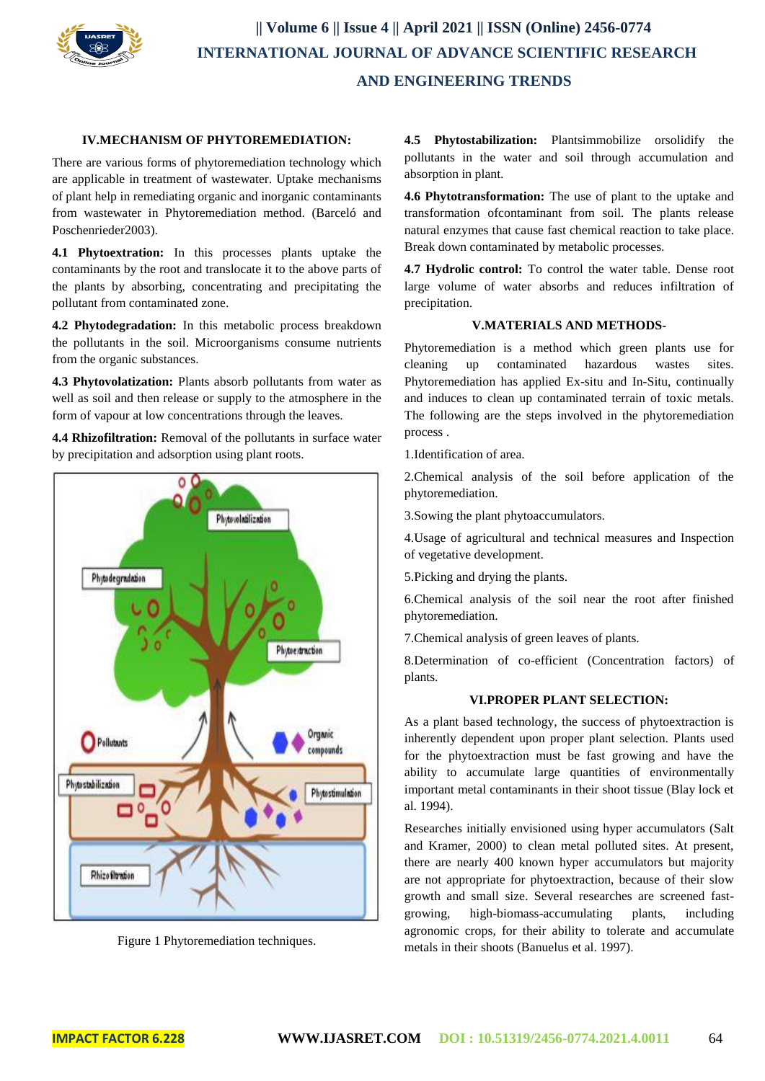

## **IV.MECHANISM OF PHYTOREMEDIATION:**

There are various forms of phytoremediation technology which are applicable in treatment of wastewater. Uptake mechanisms of plant help in remediating organic and inorganic contaminants from wastewater in Phytoremediation method. (Barceló and Poschenrieder2003).

**4.1 Phytoextration:** In this processes plants uptake the contaminants by the root and translocate it to the above parts of the plants by absorbing, concentrating and precipitating the pollutant from contaminated zone.

**4.2 Phytodegradation:** In this metabolic process breakdown the pollutants in the soil. Microorganisms consume nutrients from the organic substances.

**4.3 Phytovolatization:** Plants absorb pollutants from water as well as soil and then release or supply to the atmosphere in the form of vapour at low concentrations through the leaves.

**4.4 Rhizofiltration:** Removal of the pollutants in surface water by precipitation and adsorption using plant roots.





**4.5 Phytostabilization:** Plantsimmobilize orsolidify the pollutants in the water and soil through accumulation and absorption in plant.

**4.6 Phytotransformation:** The use of plant to the uptake and transformation ofcontaminant from soil. The plants release natural enzymes that cause fast chemical reaction to take place. Break down contaminated by metabolic processes.

**4.7 Hydrolic control:** To control the water table. Dense root large volume of water absorbs and reduces infiltration of precipitation.

#### **V.MATERIALS AND METHODS-**

Phytoremediation is a method which green plants use for cleaning up contaminated hazardous wastes sites. Phytoremediation has applied Ex-situ and In-Situ, continually and induces to clean up contaminated terrain of toxic metals. The following are the steps involved in the phytoremediation process .

1.Identification of area.

2.Chemical analysis of the soil before application of the phytoremediation.

3.Sowing the plant phytoaccumulators.

4.Usage of agricultural and technical measures and Inspection of vegetative development.

5.Picking and drying the plants.

6.Chemical analysis of the soil near the root after finished phytoremediation.

7.Chemical analysis of green leaves of plants.

8.Determination of co-efficient (Concentration factors) of plants.

### **VI.PROPER PLANT SELECTION:**

As a plant based technology, the success of phytoextraction is inherently dependent upon proper plant selection. Plants used for the phytoextraction must be fast growing and have the ability to accumulate large quantities of environmentally important metal contaminants in their shoot tissue (Blay lock et al. 1994).

Researches initially envisioned using hyper accumulators (Salt and Kramer, 2000) to clean metal polluted sites. At present, there are nearly 400 known hyper accumulators but majority are not appropriate for phytoextraction, because of their slow growth and small size. Several researches are screened fastgrowing, high-biomass-accumulating plants, including agronomic crops, for their ability to tolerate and accumulate metals in their shoots (Banuelus et al. 1997).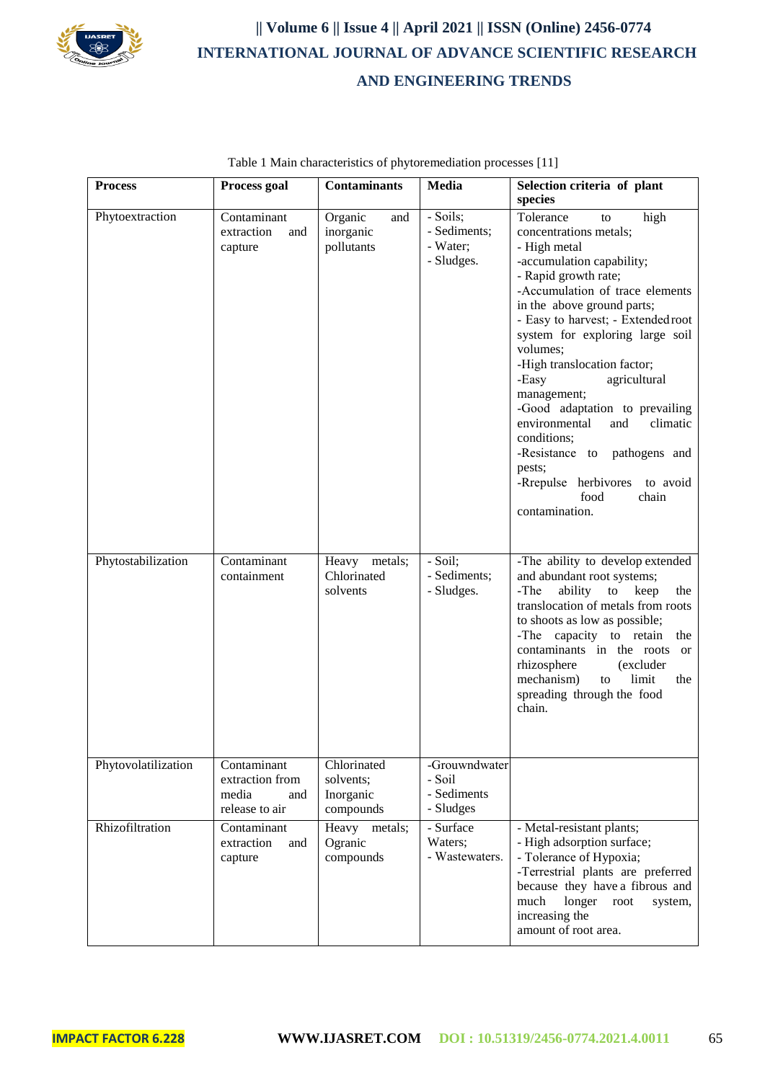

 **|| Volume 6 || Issue 4 || April 2021 || ISSN (Online) 2456-0774 INTERNATIONAL JOURNAL OF ADVANCE SCIENTIFIC RESEARCH AND ENGINEERING TRENDS** 

| <b>Process</b>      | Process goal                                                     | <b>Contaminants</b>                                | Media                                               | Selection criteria of plant<br>species                                                                                                                                                                                                                                                                                                                                                                                                                                                                                                                       |
|---------------------|------------------------------------------------------------------|----------------------------------------------------|-----------------------------------------------------|--------------------------------------------------------------------------------------------------------------------------------------------------------------------------------------------------------------------------------------------------------------------------------------------------------------------------------------------------------------------------------------------------------------------------------------------------------------------------------------------------------------------------------------------------------------|
| Phytoextraction     | Contaminant<br>extraction<br>and<br>capture                      | Organic<br>and<br>inorganic<br>pollutants          | - Soils;<br>- Sediments;<br>- Water;<br>- Sludges.  | high<br>Tolerance<br>to<br>concentrations metals;<br>- High metal<br>-accumulation capability;<br>- Rapid growth rate;<br>-Accumulation of trace elements<br>in the above ground parts;<br>- Easy to harvest; - Extended root<br>system for exploring large soil<br>volumes;<br>-High translocation factor;<br>-Easy<br>agricultural<br>management;<br>-Good adaptation to prevailing<br>environmental<br>and<br>climatic<br>conditions;<br>-Resistance to<br>pathogens and<br>pests;<br>-Rrepulse herbivores<br>to avoid<br>food<br>chain<br>contamination. |
| Phytostabilization  | Contaminant<br>containment                                       | Heavy metals;<br>Chlorinated<br>solvents           | - Soil;<br>- Sediments;<br>- Sludges.               | -The ability to develop extended<br>and abundant root systems;<br>ability<br>-The<br>to<br>keep<br>the<br>translocation of metals from roots<br>to shoots as low as possible;<br>-The capacity to retain<br>the<br>contaminants in the roots<br><sub>or</sub><br>rhizosphere<br>(excluder<br>mechanism)<br>limit<br>the<br>to<br>spreading through the food<br>chain.                                                                                                                                                                                        |
| Phytovolatilization | Contaminant<br>extraction from<br>media<br>and<br>release to air | Chlorinated<br>solvents;<br>Inorganic<br>compounds | -Grouwndwater<br>- Soil<br>- Sediments<br>- Sludges |                                                                                                                                                                                                                                                                                                                                                                                                                                                                                                                                                              |
| Rhizofiltration     | Contaminant<br>extraction<br>and<br>capture                      | Heavy metals;<br>Ogranic<br>compounds              | - Surface<br>Waters;<br>- Wastewaters.              | - Metal-resistant plants;<br>- High adsorption surface;<br>- Tolerance of Hypoxia;<br>-Terrestrial plants are preferred<br>because they have a fibrous and<br>much<br>longer<br>root<br>system,<br>increasing the<br>amount of root area.                                                                                                                                                                                                                                                                                                                    |

Table 1 Main characteristics of phytoremediation processes [11]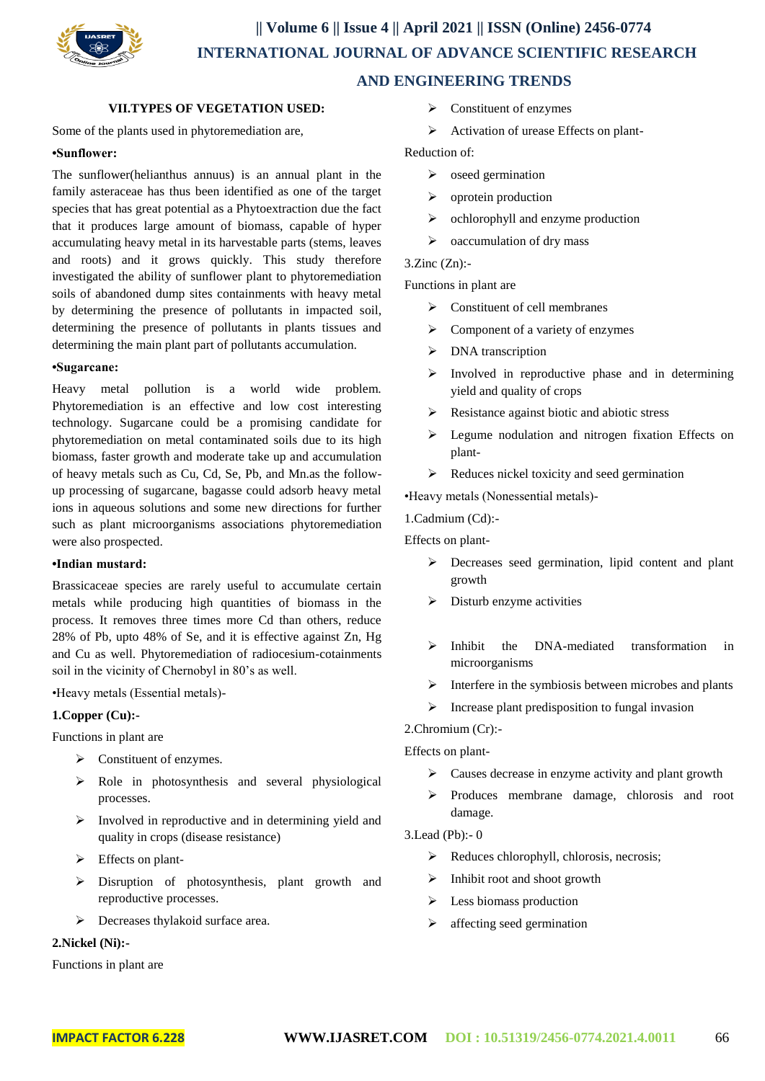

 **AND ENGINEERING TRENDS** 

### **VII.TYPES OF VEGETATION USED:**

Some of the plants used in phytoremediation are,

#### **•Sunflower:**

The sunflower(helianthus annuus) is an annual plant in the family asteraceae has thus been identified as one of the target species that has great potential as a Phytoextraction due the fact that it produces large amount of biomass, capable of hyper accumulating heavy metal in its harvestable parts (stems, leaves and roots) and it grows quickly. This study therefore investigated the ability of sunflower plant to phytoremediation soils of abandoned dump sites containments with heavy metal by determining the presence of pollutants in impacted soil, determining the presence of pollutants in plants tissues and determining the main plant part of pollutants accumulation.

#### **•Sugarcane:**

Heavy metal pollution is a world wide problem. Phytoremediation is an effective and low cost interesting technology. Sugarcane could be a promising candidate for phytoremediation on metal contaminated soils due to its high biomass, faster growth and moderate take up and accumulation of heavy metals such as Cu, Cd, Se, Pb, and Mn.as the followup processing of sugarcane, bagasse could adsorb heavy metal ions in aqueous solutions and some new directions for further such as plant microorganisms associations phytoremediation were also prospected.

#### **•Indian mustard:**

Brassicaceae species are rarely useful to accumulate certain metals while producing high quantities of biomass in the process. It removes three times more Cd than others, reduce 28% of Pb, upto 48% of Se, and it is effective against Zn, Hg and Cu as well. Phytoremediation of radiocesium-cotainments soil in the vicinity of Chernobyl in 80's as well.

•Heavy metals (Essential metals)-

#### **1.Copper (Cu):-**

Functions in plant are

- $\triangleright$  Constituent of enzymes.
- $\triangleright$  Role in photosynthesis and several physiological processes.
- $\triangleright$  Involved in reproductive and in determining yield and quality in crops (disease resistance)
- $\triangleright$  Effects on plant-
- Disruption of photosynthesis, plant growth and reproductive processes.
- $\triangleright$  Decreases thylakoid surface area.

#### **2.Nickel (Ni):-**

Functions in plant are

- $\triangleright$  Constituent of enzymes
- Activation of urease Effects on plant-

Reduction of:

- $\triangleright$  oseed germination
- $\triangleright$  oprotein production
- $\triangleright$  ochlorophyll and enzyme production
- $\triangleright$  oaccumulation of dry mass

3.Zinc (Zn):-

Functions in plant are

- $\triangleright$  Constituent of cell membranes
- $\triangleright$  Component of a variety of enzymes
- $\triangleright$  DNA transcription
- $\triangleright$  Involved in reproductive phase and in determining yield and quality of crops
- $\triangleright$  Resistance against biotic and abiotic stress
- Equine nodulation and nitrogen fixation Effects on plant-
- $\triangleright$  Reduces nickel toxicity and seed germination

•Heavy metals (Nonessential metals)-

1.Cadmium (Cd):-

Effects on plant-

- Decreases seed germination, lipid content and plant growth
- $\triangleright$  Disturb enzyme activities
- $\triangleright$  Inhibit the DNA-mediated transformation in microorganisms
- $\triangleright$  Interfere in the symbiosis between microbes and plants
- $\triangleright$  Increase plant predisposition to fungal invasion

2.Chromium (Cr):-

Effects on plant-

- $\triangleright$  Causes decrease in enzyme activity and plant growth
- $\triangleright$  Produces membrane damage, chlorosis and root damage.
- 3.Lead (Pb):- 0
	- $\triangleright$  Reduces chlorophyll, chlorosis, necrosis;
	- $\triangleright$  Inhibit root and shoot growth
	- $\triangleright$  Less biomass production
	- $\triangleright$  affecting seed germination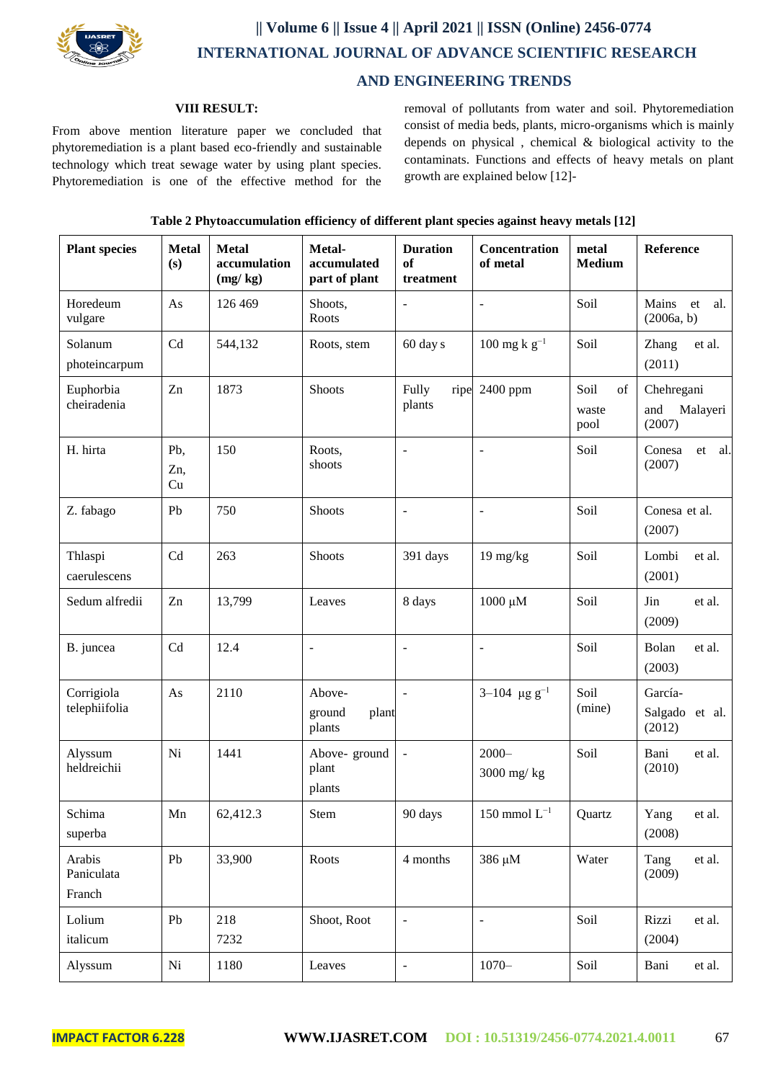

## **|| Volume 6 || Issue 4 || April 2021 || ISSN (Online) 2456-0774 INTERNATIONAL JOURNAL OF ADVANCE SCIENTIFIC RESEARCH AND ENGINEERING TRENDS**

## **VIII RESULT:**

From above mention literature paper we concluded that phytoremediation is a plant based eco-friendly and sustainable technology which treat sewage water by using plant species. Phytoremediation is one of the effective method for the removal of pollutants from water and soil. Phytoremediation consist of media beds, plants, micro-organisms which is mainly depends on physical , chemical & biological activity to the contaminats. Functions and effects of heavy metals on plant growth are explained below [12]-

| Table 2 Phytoaccumulation efficiency of different plant species against heavy metals [12] |  |  |
|-------------------------------------------------------------------------------------------|--|--|
|                                                                                           |  |  |

| <b>Plant species</b>           | <b>Metal</b><br>(s) | <b>Metal</b><br>accumulation<br>(mg/kg) | Metal-<br>accumulated<br>part of plant | <b>Duration</b><br>of<br>treatment | Concentration<br>of metal  | metal<br><b>Medium</b>      | Reference                               |
|--------------------------------|---------------------|-----------------------------------------|----------------------------------------|------------------------------------|----------------------------|-----------------------------|-----------------------------------------|
| Horedeum<br>vulgare            | As                  | 126 469                                 | Shoots,<br>Roots                       | $\overline{a}$                     |                            | Soil                        | Mains<br>et<br>al.<br>(2006a, b)        |
| Solanum<br>photeincarpum       | Cd                  | 544,132                                 | Roots, stem                            | 60 day s                           | 100 mg k $g^{-1}$          | Soil                        | Zhang<br>et al.<br>(2011)               |
| Euphorbia<br>cheiradenia       | Zn                  | 1873                                    | Shoots                                 | Fully<br>ripe<br>plants            | 2400 ppm                   | Soil<br>of<br>waste<br>pool | Chehregani<br>and<br>Malayeri<br>(2007) |
| H. hirta                       | Pb,<br>Zn,<br>Cu    | 150                                     | Roots,<br>shoots                       | ÷,                                 |                            | Soil                        | Conesa<br>et al.<br>(2007)              |
| Z. fabago                      | Pb                  | 750                                     | Shoots                                 | ÷                                  | $\overline{a}$             | Soil                        | Conesa et al.<br>(2007)                 |
| Thlaspi<br>caerulescens        | Cd                  | 263                                     | Shoots                                 | 391 days                           | 19 mg/kg                   | Soil                        | Lombi<br>et al.<br>(2001)               |
| Sedum alfredii                 | Zn                  | 13,799                                  | Leaves                                 | 8 days                             | $1000 \mu M$               | Soil                        | Jin<br>et al.<br>(2009)                 |
| B. juncea                      | Cd                  | 12.4                                    | $\blacksquare$                         | ÷                                  | $\overline{\phantom{0}}$   | Soil                        | Bolan<br>et al.<br>(2003)               |
| Corrigiola<br>telephiifolia    | As                  | 2110                                    | Above-<br>ground<br>plant<br>plants    |                                    | $3-104$ µg g <sup>-1</sup> | Soil<br>(mine)              | García-<br>Salgado et al.<br>(2012)     |
| Alyssum<br>heldreichii         | Ni                  | 1441                                    | Above-ground<br>plant<br>plants        | $\blacksquare$                     | $2000 -$<br>3000 mg/kg     | Soil                        | Bani<br>et al.<br>(2010)                |
| Schima<br>superba              | Mn                  | 62,412.3                                | Stem                                   | 90 days                            | $150$ mmol $L^{-1}$        | Quartz                      | Yang<br>et al.<br>(2008)                |
| Arabis<br>Paniculata<br>Franch | Pb                  | 33,900                                  | Roots                                  | 4 months                           | 386 μM                     | Water                       | Tang<br>et al.<br>(2009)                |
| Lolium<br>italicum             | Pb                  | 218<br>7232                             | Shoot, Root                            | $\overline{\phantom{0}}$           | $\overline{a}$             | Soil                        | Rizzi<br>et al.<br>(2004)               |
| Alyssum                        | Ni                  | 1180                                    | Leaves                                 | $\overline{\phantom{0}}$           | $1070 -$                   | Soil                        | Bani<br>et al.                          |